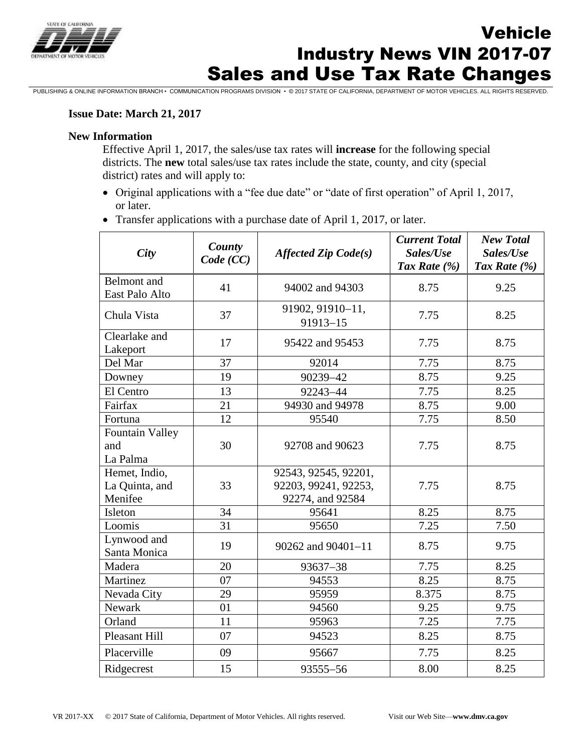

# Sales and Use Tax Rate Changes Vehicle Industry News VIN 2017-07

PUBLISHING & ONLINE INFORMATION BRANCH • COMMUNICATION PROGRAMS DIVISION • © 2017 STATE OF CALIFORNIA, DEPARTMENT OF MOTOR VEHICLES. ALL RIGHTS RESERVED.

#### **Issue Date: March 21, 2017**

#### **New Information**

Effective April 1, 2017, the sales/use tax rates will **increase** for the following special districts. The **new** total sales/use tax rates include the state, county, and city (special district) rates and will apply to:

- Original applications with a "fee due date" or "date of first operation" of April 1, 2017, or later.
- Transfer applications with a purchase date of April 1, 2017, or later.

| <b>City</b>                                | County<br>Code (CC) | $A \text{ffected } \text{Zip } \text{Code}(s)$                   | <b>Current Total</b><br>Sales/Use<br>Tax Rate $(\% )$ | <b>New Total</b><br>Sales/Use<br>Tax Rate $(\% )$ |
|--------------------------------------------|---------------------|------------------------------------------------------------------|-------------------------------------------------------|---------------------------------------------------|
| Belmont and<br>East Palo Alto              | 41                  | 94002 and 94303                                                  | 8.75                                                  | 9.25                                              |
| Chula Vista                                | 37                  | 91902, 91910-11,<br>$91913 - 15$                                 | 7.75                                                  | 8.25                                              |
| Clearlake and<br>Lakeport                  | 17                  | 95422 and 95453                                                  | 7.75                                                  | 8.75                                              |
| Del Mar                                    | 37                  | 92014                                                            | 7.75                                                  | 8.75                                              |
| Downey                                     | 19                  | 90239-42                                                         | 8.75                                                  | 9.25                                              |
| El Centro                                  | 13                  | 92243-44                                                         | 7.75                                                  | 8.25                                              |
| Fairfax                                    | 21                  | 94930 and 94978                                                  | 8.75                                                  | 9.00                                              |
| Fortuna                                    | 12                  | 95540                                                            | 7.75                                                  | 8.50                                              |
| <b>Fountain Valley</b><br>and<br>La Palma  | 30                  | 92708 and 90623                                                  | 7.75                                                  | 8.75                                              |
| Hemet, Indio,<br>La Quinta, and<br>Menifee | 33                  | 92543, 92545, 92201,<br>92203, 99241, 92253,<br>92274, and 92584 | 7.75                                                  | 8.75                                              |
| Isleton                                    | 34                  | 95641                                                            | 8.25                                                  | 8.75                                              |
| Loomis                                     | 31                  | 95650                                                            | 7.25                                                  | 7.50                                              |
| Lynwood and<br>Santa Monica                | 19                  | $90262$ and $90401 - 11$                                         | 8.75                                                  | 9.75                                              |
| Madera                                     | 20                  | 93637-38                                                         | 7.75                                                  | 8.25                                              |
| Martinez                                   | 07                  | 94553                                                            | 8.25                                                  | 8.75                                              |
| Nevada City                                | 29                  | 95959                                                            | 8.375                                                 | 8.75                                              |
| Newark                                     | 01                  | 94560                                                            | 9.25                                                  | 9.75                                              |
| Orland                                     | 11                  | 95963                                                            | 7.25                                                  | 7.75                                              |
| <b>Pleasant Hill</b>                       | 07                  | 94523                                                            | 8.25                                                  | 8.75                                              |
| Placerville                                | 09                  | 95667                                                            | 7.75                                                  | 8.25                                              |
| Ridgecrest                                 | 15                  | 93555-56                                                         | 8.00                                                  | 8.25                                              |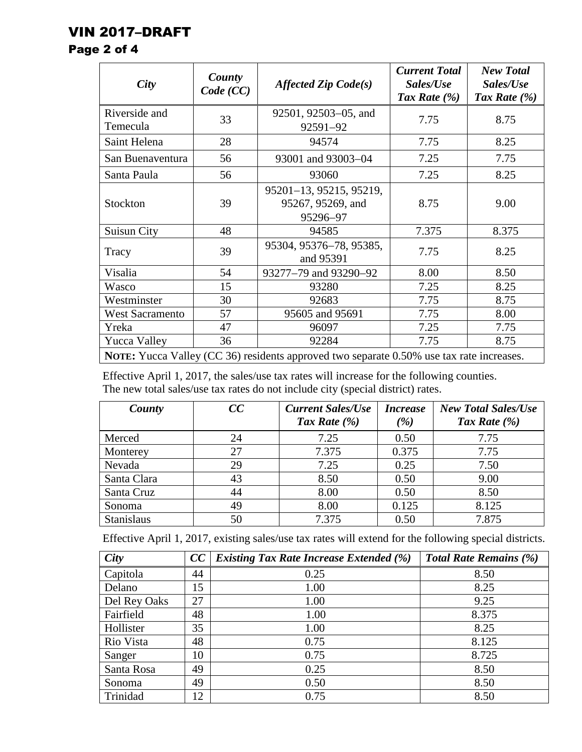## VIN 2017–DRAFT

### Page 2 of 4

| City                                                                                     | County<br>Code (CC) | Affected Zip $Code(s)$                                   | <b>Current Total</b><br>Sales/Use<br>Tax Rate $(\%)$ | <b>New Total</b><br>Sales/Use<br>Tax Rate $(\% )$ |
|------------------------------------------------------------------------------------------|---------------------|----------------------------------------------------------|------------------------------------------------------|---------------------------------------------------|
| Riverside and<br>Temecula                                                                | 33                  | 92501, 92503–05, and<br>92591-92                         | 7.75                                                 | 8.75                                              |
| Saint Helena                                                                             | 28                  | 94574                                                    | 7.75                                                 | 8.25                                              |
| San Buenaventura                                                                         | 56                  | 93001 and 93003-04                                       | 7.25                                                 | 7.75                                              |
| Santa Paula                                                                              | 56                  | 93060                                                    | 7.25                                                 | 8.25                                              |
| Stockton                                                                                 | 39                  | 95201-13, 95215, 95219,<br>95267, 95269, and<br>95296-97 | 8.75                                                 | 9.00                                              |
| Suisun City                                                                              | 48                  | 94585                                                    | 7.375                                                | 8.375                                             |
| Tracy                                                                                    | 39                  | 95304, 95376-78, 95385,<br>and 95391                     | 7.75                                                 | 8.25                                              |
| Visalia                                                                                  | 54                  | 93277–79 and 93290–92                                    | 8.00                                                 | 8.50                                              |
| Wasco                                                                                    | 15                  | 93280                                                    | 7.25                                                 | 8.25                                              |
| Westminster                                                                              | 30                  | 92683                                                    | 7.75                                                 | 8.75                                              |
| <b>West Sacramento</b>                                                                   | 57                  | 95605 and 95691                                          | 7.75                                                 | 8.00                                              |
| Yreka                                                                                    | 47                  | 96097                                                    | 7.25                                                 | 7.75                                              |
| <b>Yucca Valley</b>                                                                      | 36                  | 92284                                                    | 7.75                                                 | 8.75                                              |
| NOTE: Yucca Valley (CC 36) residents approved two separate 0.50% use tax rate increases. |                     |                                                          |                                                      |                                                   |

Effective April 1, 2017, the sales/use tax rates will increase for the following counties. The new total sales/use tax rates do not include city (special district) rates.

| County            | CC | <b>Current Sales/Use</b> | <i><b>Increase</b></i> | <b>New Total Sales/Use</b> |
|-------------------|----|--------------------------|------------------------|----------------------------|
|                   |    | Tax Rate $(\% )$         | $\mathscr{C}_0$        | Tax Rate $(\% )$           |
| Merced            | 24 | 7.25                     | 0.50                   | 7.75                       |
| Monterey          | 27 | 7.375                    | 0.375                  | 7.75                       |
| Nevada            | 29 | 7.25                     | 0.25                   | 7.50                       |
| Santa Clara       | 43 | 8.50                     | 0.50                   | 9.00                       |
| Santa Cruz        | 44 | 8.00                     | 0.50                   | 8.50                       |
| Sonoma            | 49 | 8.00                     | 0.125                  | 8.125                      |
| <b>Stanislaus</b> | 50 | 7.375                    | 0.50                   | 7.875                      |

Effective April 1, 2017, existing sales/use tax rates will extend for the following special districts.

| City         | CC | <b>Existing Tax Rate Increase Extended (%)</b> | <b>Total Rate Remains (%)</b> |
|--------------|----|------------------------------------------------|-------------------------------|
| Capitola     | 44 | 0.25                                           | 8.50                          |
| Delano       | 15 | 1.00                                           | 8.25                          |
| Del Rey Oaks | 27 | 1.00                                           | 9.25                          |
| Fairfield    | 48 | 1.00                                           | 8.375                         |
| Hollister    | 35 | 1.00                                           | 8.25                          |
| Rio Vista    | 48 | 0.75                                           | 8.125                         |
| Sanger       | 10 | 0.75                                           | 8.725                         |
| Santa Rosa   | 49 | 0.25                                           | 8.50                          |
| Sonoma       | 49 | 0.50                                           | 8.50                          |
| Trinidad     | 12 | 0.75                                           | 8.50                          |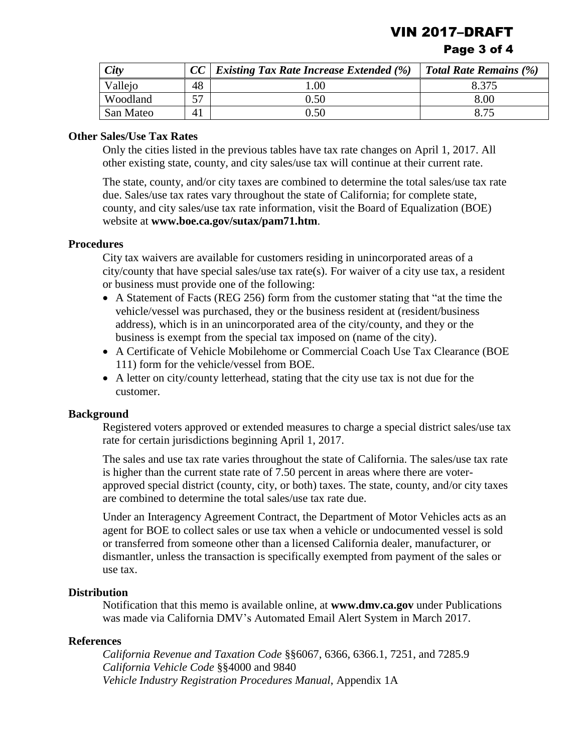**VIN 2017-DRAF** 

#### Page 3 of 4

| City      |    | <i>Existing Tax Rate Increase Extended</i> $(\%)$ | <b>Total Rate Remains (%)</b> |
|-----------|----|---------------------------------------------------|-------------------------------|
| Vallejo   | 48 | .00.                                              | 8.375                         |
| Woodland  | 57 | 0.50                                              | 8.00                          |
| San Mateo | Δ  | 0.50                                              |                               |

#### **Other Sales/Use Tax Rates**

Only the cities listed in the previous tables have tax rate changes on April 1, 2017. All other existing state, county, and city sales/use tax will continue at their current rate.

The state, county, and/or city taxes are combined to determine the total sales/use tax rate due. Sales/use tax rates vary throughout the state of California; for complete state, county, and city sales/use tax rate information, visit the Board of Equalization (BOE) website at **<www.boe.ca.gov/sutax/pam71.htm>**.

#### **Procedures**

City tax waivers are available for customers residing in unincorporated areas of a  $city/county$  that have special sales/use tax rate(s). For waiver of a city use tax, a resident or business must provide one of the following:

- A Statement of Facts (REG 256) form from the customer stating that "at the time the vehicle/vessel was purchased, they or the business resident at (resident/business address), which is in an unincorporated area of the city/county, and they or the business is exempt from the special tax imposed on (name of the city).
- A Certificate of Vehicle Mobilehome or Commercial Coach Use Tax Clearance (BOE 111) form for the vehicle/vessel from BOE.
- A letter on city/county letterhead, stating that the city use tax is not due for the customer.

#### **Background**

Registered voters approved or extended measures to charge a special district sales/use tax rate for certain jurisdictions beginning April 1, 2017.

 is higher than the current state rate of 7.50 percent in areas where there are voter-The sales and use tax rate varies throughout the state of California. The sales/use tax rate approved special district (county, city, or both) taxes. The state, county, and/or city taxes are combined to determine the total sales/use tax rate due.

Under an Interagency Agreement Contract, the Department of Motor Vehicles acts as an agent for BOE to collect sales or use tax when a vehicle or undocumented vessel is sold or transferred from someone other than a licensed California dealer, manufacturer, or dismantler, unless the transaction is specifically exempted from payment of the sales or use tax.

#### **Distribution**

Notification that this memo is available online, at **<www.dmv.ca.gov>** under Publications was made via California DMV's Automated Email Alert System in March 2017.

#### **References**

 *Vehicle Industry Registration Procedures Manual*, Appendix 1A *California Revenue and Taxation Code* §§6067, 6366, 6366.1, 7251, and 7285.9 *California Vehicle Code* §§4000 and 9840